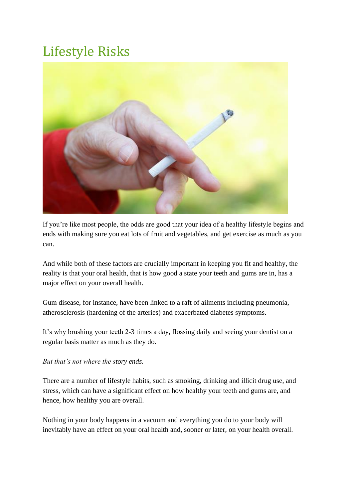# Lifestyle Risks



If you're like most people, the odds are good that your idea of a healthy lifestyle begins and ends with making sure you eat lots of fruit and vegetables, and get exercise as much as you can.

And while both of these factors are crucially important in keeping you fit and healthy, the reality is that your oral health, that is how good a state your teeth and gums are in, has a major effect on your overall health.

Gum disease, for instance, have been linked to a raft of ailments including pneumonia, atherosclerosis (hardening of the arteries) and exacerbated diabetes symptoms.

It's why brushing your teeth 2-3 times a day, flossing daily and seeing your dentist on a regular basis matter as much as they do.

## *But that's not where the story ends.*

There are a number of lifestyle habits, such as smoking, drinking and illicit drug use, and stress, which can have a significant effect on how healthy your teeth and gums are, and hence, how healthy you are overall.

Nothing in your body happens in a vacuum and everything you do to your body will inevitably have an effect on your oral health and, sooner or later, on your health overall.